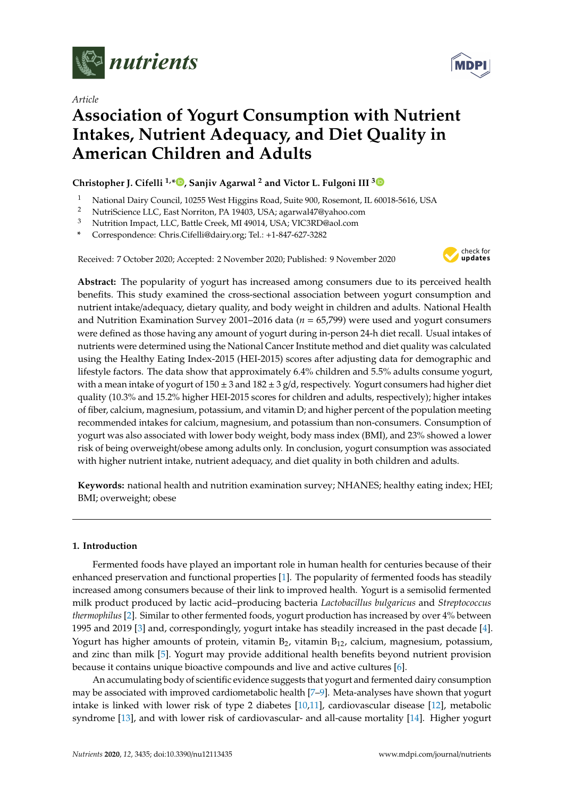

*Article*



# **Association of Yogurt Consumption with Nutrient Intakes, Nutrient Adequacy, and Diet Quality in American Children and Adults**

## **Christopher J. Cifelli 1,\* [,](https://orcid.org/0000-0002-8450-9650) Sanjiv Agarwal <sup>2</sup> and Victor L. Fulgoni III [3](https://orcid.org/0000-0003-1569-8520)**

- <sup>1</sup> National Dairy Council, 10255 West Higgins Road, Suite 900, Rosemont, IL 60018-5616, USA
- <sup>2</sup> NutriScience LLC, East Norriton, PA 19403, USA; agarwal47@yahoo.com<br><sup>3</sup> Nutrition Impact LLC, Bettle Creek, ML40014, LEA, VIC2PD@ael.com
- <sup>3</sup> Nutrition Impact, LLC, Battle Creek, MI 49014, USA; VIC3RD@aol.com
- **\*** Correspondence: Chris.Cifelli@dairy.org; Tel.: +1-847-627-3282

Received: 7 October 2020; Accepted: 2 November 2020; Published: 9 November 2020



**Abstract:** The popularity of yogurt has increased among consumers due to its perceived health benefits. This study examined the cross-sectional association between yogurt consumption and nutrient intake/adequacy, dietary quality, and body weight in children and adults. National Health and Nutrition Examination Survey 2001–2016 data (*n* = 65,799) were used and yogurt consumers were defined as those having any amount of yogurt during in-person 24-h diet recall. Usual intakes of nutrients were determined using the National Cancer Institute method and diet quality was calculated using the Healthy Eating Index-2015 (HEI-2015) scores after adjusting data for demographic and lifestyle factors. The data show that approximately 6.4% children and 5.5% adults consume yogurt, with a mean intake of yogurt of  $150 \pm 3$  and  $182 \pm 3$  g/d, respectively. Yogurt consumers had higher diet quality (10.3% and 15.2% higher HEI-2015 scores for children and adults, respectively); higher intakes of fiber, calcium, magnesium, potassium, and vitamin D; and higher percent of the population meeting recommended intakes for calcium, magnesium, and potassium than non-consumers. Consumption of yogurt was also associated with lower body weight, body mass index (BMI), and 23% showed a lower risk of being overweight/obese among adults only. In conclusion, yogurt consumption was associated with higher nutrient intake, nutrient adequacy, and diet quality in both children and adults.

**Keywords:** national health and nutrition examination survey; NHANES; healthy eating index; HEI; BMI; overweight; obese

#### **1. Introduction**

Fermented foods have played an important role in human health for centuries because of their enhanced preservation and functional properties [\[1\]](#page-10-0). The popularity of fermented foods has steadily increased among consumers because of their link to improved health. Yogurt is a semisolid fermented milk product produced by lactic acid–producing bacteria *Lactobacillus bulgaricus* and *Streptococcus thermophilus* [\[2\]](#page-10-1). Similar to other fermented foods, yogurt production has increased by over 4% between 1995 and 2019 [\[3\]](#page-10-2) and, correspondingly, yogurt intake has steadily increased in the past decade [\[4\]](#page-10-3). Yogurt has higher amounts of protein, vitamin  $B_2$ , vitamin  $B_{12}$ , calcium, magnesium, potassium, and zinc than milk [\[5\]](#page-10-4). Yogurt may provide additional health benefits beyond nutrient provision because it contains unique bioactive compounds and live and active cultures [\[6\]](#page-10-5).

An accumulating body of scientific evidence suggests that yogurt and fermented dairy consumption may be associated with improved cardiometabolic health [\[7–](#page-10-6)[9\]](#page-10-7). Meta-analyses have shown that yogurt intake is linked with lower risk of type 2 diabetes [\[10](#page-10-8)[,11\]](#page-10-9), cardiovascular disease [\[12\]](#page-10-10), metabolic syndrome [\[13\]](#page-10-11), and with lower risk of cardiovascular- and all-cause mortality [\[14\]](#page-10-12). Higher yogurt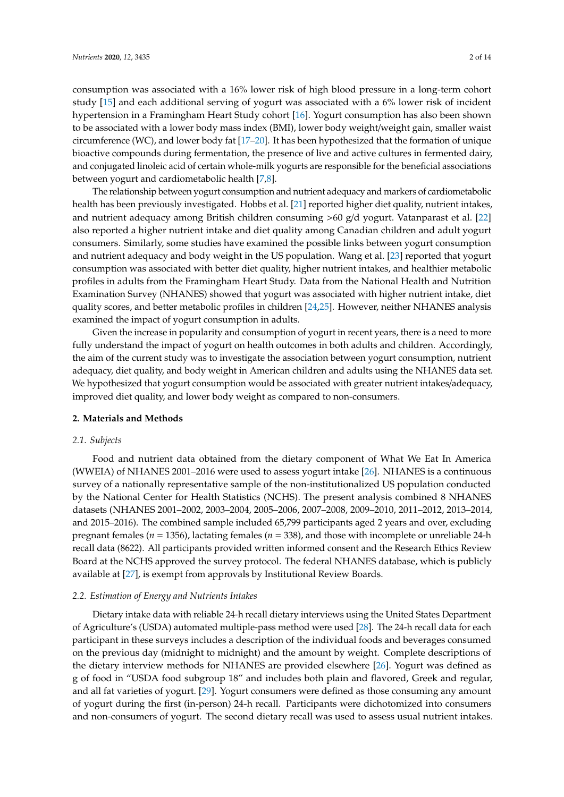consumption was associated with a 16% lower risk of high blood pressure in a long-term cohort study [\[15\]](#page-10-13) and each additional serving of yogurt was associated with a 6% lower risk of incident hypertension in a Framingham Heart Study cohort [\[16\]](#page-11-0). Yogurt consumption has also been shown to be associated with a lower body mass index (BMI), lower body weight/weight gain, smaller waist circumference (WC), and lower body fat [\[17](#page-11-1)[–20\]](#page-11-2). It has been hypothesized that the formation of unique bioactive compounds during fermentation, the presence of live and active cultures in fermented dairy, and conjugated linoleic acid of certain whole-milk yogurts are responsible for the beneficial associations between yogurt and cardiometabolic health [\[7,](#page-10-6)[8\]](#page-10-14).

The relationship between yogurt consumption and nutrient adequacy and markers of cardiometabolic health has been previously investigated. Hobbs et al. [\[21\]](#page-11-3) reported higher diet quality, nutrient intakes, and nutrient adequacy among British children consuming >60 g/d yogurt. Vatanparast et al. [\[22\]](#page-11-4) also reported a higher nutrient intake and diet quality among Canadian children and adult yogurt consumers. Similarly, some studies have examined the possible links between yogurt consumption and nutrient adequacy and body weight in the US population. Wang et al. [\[23\]](#page-11-5) reported that yogurt consumption was associated with better diet quality, higher nutrient intakes, and healthier metabolic profiles in adults from the Framingham Heart Study. Data from the National Health and Nutrition Examination Survey (NHANES) showed that yogurt was associated with higher nutrient intake, diet quality scores, and better metabolic profiles in children [\[24](#page-11-6)[,25\]](#page-11-7). However, neither NHANES analysis examined the impact of yogurt consumption in adults.

Given the increase in popularity and consumption of yogurt in recent years, there is a need to more fully understand the impact of yogurt on health outcomes in both adults and children. Accordingly, the aim of the current study was to investigate the association between yogurt consumption, nutrient adequacy, diet quality, and body weight in American children and adults using the NHANES data set. We hypothesized that yogurt consumption would be associated with greater nutrient intakes/adequacy, improved diet quality, and lower body weight as compared to non-consumers.

#### **2. Materials and Methods**

#### *2.1. Subjects*

Food and nutrient data obtained from the dietary component of What We Eat In America (WWEIA) of NHANES 2001–2016 were used to assess yogurt intake [\[26\]](#page-11-8). NHANES is a continuous survey of a nationally representative sample of the non-institutionalized US population conducted by the National Center for Health Statistics (NCHS). The present analysis combined 8 NHANES datasets (NHANES 2001–2002, 2003–2004, 2005–2006, 2007–2008, 2009–2010, 2011–2012, 2013–2014, and 2015–2016). The combined sample included 65,799 participants aged 2 years and over, excluding pregnant females (*n* = 1356), lactating females (*n* = 338), and those with incomplete or unreliable 24-h recall data (8622). All participants provided written informed consent and the Research Ethics Review Board at the NCHS approved the survey protocol. The federal NHANES database, which is publicly available at [\[27\]](#page-11-9), is exempt from approvals by Institutional Review Boards.

#### *2.2. Estimation of Energy and Nutrients Intakes*

Dietary intake data with reliable 24-h recall dietary interviews using the United States Department of Agriculture's (USDA) automated multiple-pass method were used [\[28\]](#page-11-10). The 24-h recall data for each participant in these surveys includes a description of the individual foods and beverages consumed on the previous day (midnight to midnight) and the amount by weight. Complete descriptions of the dietary interview methods for NHANES are provided elsewhere [\[26\]](#page-11-8). Yogurt was defined as g of food in "USDA food subgroup 18" and includes both plain and flavored, Greek and regular, and all fat varieties of yogurt. [\[29\]](#page-11-11). Yogurt consumers were defined as those consuming any amount of yogurt during the first (in-person) 24-h recall. Participants were dichotomized into consumers and non-consumers of yogurt. The second dietary recall was used to assess usual nutrient intakes.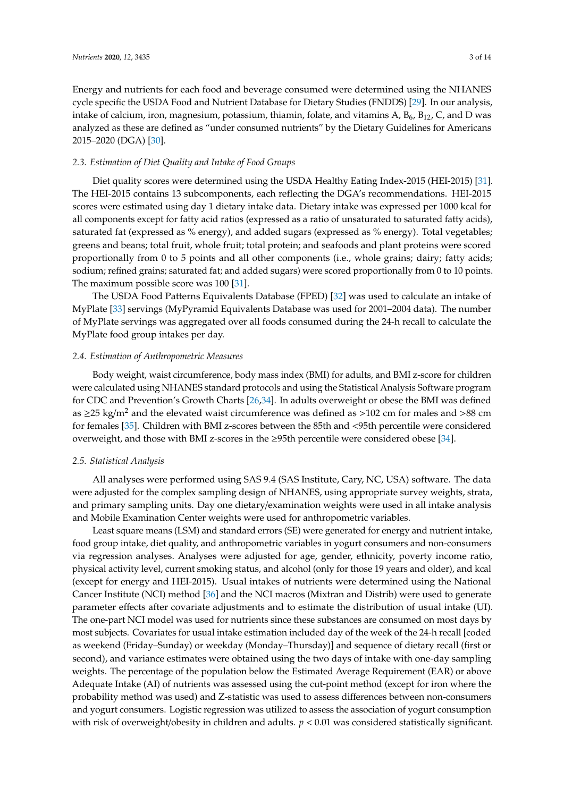Energy and nutrients for each food and beverage consumed were determined using the NHANES cycle specific the USDA Food and Nutrient Database for Dietary Studies (FNDDS) [\[29\]](#page-11-11). In our analysis, intake of calcium, iron, magnesium, potassium, thiamin, folate, and vitamins A,  $B_6$ ,  $B_{12}$ , C, and D was analyzed as these are defined as "under consumed nutrients" by the Dietary Guidelines for Americans 2015–2020 (DGA) [\[30\]](#page-11-12).

## *2.3. Estimation of Diet Quality and Intake of Food Groups*

Diet quality scores were determined using the USDA Healthy Eating Index-2015 (HEI-2015) [\[31\]](#page-11-13). The HEI-2015 contains 13 subcomponents, each reflecting the DGA's recommendations. HEI-2015 scores were estimated using day 1 dietary intake data. Dietary intake was expressed per 1000 kcal for all components except for fatty acid ratios (expressed as a ratio of unsaturated to saturated fatty acids), saturated fat (expressed as % energy), and added sugars (expressed as % energy). Total vegetables; greens and beans; total fruit, whole fruit; total protein; and seafoods and plant proteins were scored proportionally from 0 to 5 points and all other components (i.e., whole grains; dairy; fatty acids; sodium; refined grains; saturated fat; and added sugars) were scored proportionally from 0 to 10 points. The maximum possible score was 100 [\[31\]](#page-11-13).

The USDA Food Patterns Equivalents Database (FPED) [\[32\]](#page-11-14) was used to calculate an intake of MyPlate [\[33\]](#page-11-15) servings (MyPyramid Equivalents Database was used for 2001–2004 data). The number of MyPlate servings was aggregated over all foods consumed during the 24-h recall to calculate the MyPlate food group intakes per day.

## *2.4. Estimation of Anthropometric Measures*

Body weight, waist circumference, body mass index (BMI) for adults, and BMI z-score for children were calculated using NHANES standard protocols and using the Statistical Analysis Software program for CDC and Prevention's Growth Charts [\[26,](#page-11-8)[34\]](#page-11-16). In adults overweight or obese the BMI was defined as  $\geq$ 25 kg/m<sup>2</sup> and the elevated waist circumference was defined as  $>$ 102 cm for males and  $>$ 88 cm for females [\[35\]](#page-12-0). Children with BMI z-scores between the 85th and <95th percentile were considered overweight, and those with BMI z-scores in the ≥95th percentile were considered obese [\[34\]](#page-11-16).

#### *2.5. Statistical Analysis*

All analyses were performed using SAS 9.4 (SAS Institute, Cary, NC, USA) software. The data were adjusted for the complex sampling design of NHANES, using appropriate survey weights, strata, and primary sampling units. Day one dietary/examination weights were used in all intake analysis and Mobile Examination Center weights were used for anthropometric variables.

Least square means (LSM) and standard errors (SE) were generated for energy and nutrient intake, food group intake, diet quality, and anthropometric variables in yogurt consumers and non-consumers via regression analyses. Analyses were adjusted for age, gender, ethnicity, poverty income ratio, physical activity level, current smoking status, and alcohol (only for those 19 years and older), and kcal (except for energy and HEI-2015). Usual intakes of nutrients were determined using the National Cancer Institute (NCI) method [\[36\]](#page-12-1) and the NCI macros (Mixtran and Distrib) were used to generate parameter effects after covariate adjustments and to estimate the distribution of usual intake (UI). The one-part NCI model was used for nutrients since these substances are consumed on most days by most subjects. Covariates for usual intake estimation included day of the week of the 24-h recall [coded as weekend (Friday–Sunday) or weekday (Monday–Thursday)] and sequence of dietary recall (first or second), and variance estimates were obtained using the two days of intake with one-day sampling weights. The percentage of the population below the Estimated Average Requirement (EAR) or above Adequate Intake (AI) of nutrients was assessed using the cut-point method (except for iron where the probability method was used) and Z-statistic was used to assess differences between non-consumers and yogurt consumers. Logistic regression was utilized to assess the association of yogurt consumption with risk of overweight/obesity in children and adults.  $p < 0.01$  was considered statistically significant.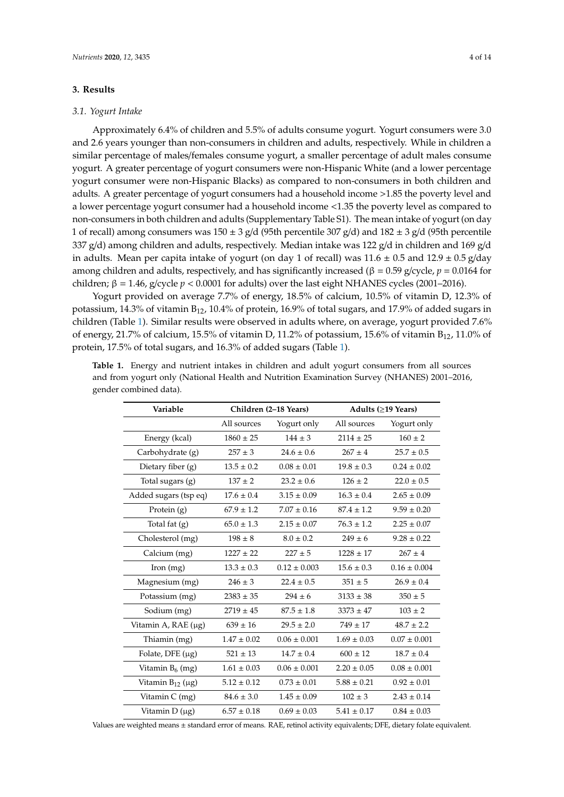## **3. Results**

#### *3.1. Yogurt Intake*

Approximately 6.4% of children and 5.5% of adults consume yogurt. Yogurt consumers were 3.0 and 2.6 years younger than non-consumers in children and adults, respectively. While in children a similar percentage of males/females consume yogurt, a smaller percentage of adult males consume yogurt. A greater percentage of yogurt consumers were non-Hispanic White (and a lower percentage yogurt consumer were non-Hispanic Blacks) as compared to non-consumers in both children and adults. A greater percentage of yogurt consumers had a household income >1.85 the poverty level and a lower percentage yogurt consumer had a household income <1.35 the poverty level as compared to non-consumers in both children and adults (Supplementary Table S1). The mean intake of yogurt (on day 1 of recall) among consumers was  $150 \pm 3$  g/d (95th percentile 307 g/d) and  $182 \pm 3$  g/d (95th percentile 337 g/d) among children and adults, respectively. Median intake was 122 g/d in children and 169 g/d in adults. Mean per capita intake of yogurt (on day 1 of recall) was  $11.6 \pm 0.5$  and  $12.9 \pm 0.5$  g/day among children and adults, respectively, and has significantly increased (β = 0.59 g/cycle, *p* = 0.0164 for children;  $β = 1.46$ , g/cycle  $p < 0.0001$  for adults) over the last eight NHANES cycles (2001–2016).

Yogurt provided on average 7.7% of energy, 18.5% of calcium, 10.5% of vitamin D, 12.3% of potassium, 14.3% of vitamin B12, 10.4% of protein, 16.9% of total sugars, and 17.9% of added sugars in children (Table [1\)](#page-3-0). Similar results were observed in adults where, on average, yogurt provided 7.6% of energy, 21.7% of calcium, 15.5% of vitamin D, 11.2% of potassium, 15.6% of vitamin  $B_{12}$ , 11.0% of protein, 17.5% of total sugars, and 16.3% of added sugars (Table [1\)](#page-3-0).

| Variable              |                 | Children (2-18 Years) | Adults (≥19 Years) |                  |  |
|-----------------------|-----------------|-----------------------|--------------------|------------------|--|
|                       | All sources     | Yogurt only           | All sources        | Yogurt only      |  |
| Energy (kcal)         | $1860 \pm 25$   | $144 \pm 3$           | $2114 \pm 25$      | $160 \pm 2$      |  |
| Carbohydrate (g)      | $257 \pm 3$     | $24.6 \pm 0.6$        | $267 + 4$          | $25.7 \pm 0.5$   |  |
| Dietary fiber (g)     | $13.5 \pm 0.2$  | $0.08 \pm 0.01$       | $19.8 \pm 0.3$     | $0.24 \pm 0.02$  |  |
| Total sugars (g)      | $137 \pm 2$     | $23.2 \pm 0.6$        | $126 \pm 2$        | $22.0 \pm 0.5$   |  |
| Added sugars (tsp eq) | $17.6 \pm 0.4$  | $3.15 \pm 0.09$       | $16.3 \pm 0.4$     | $2.65 \pm 0.09$  |  |
| Protein (g)           | $67.9 \pm 1.2$  | $7.07 \pm 0.16$       | $87.4 \pm 1.2$     | $9.59 \pm 0.20$  |  |
| Total fat (g)         | $65.0 \pm 1.3$  | $2.15 \pm 0.07$       | $76.3 \pm 1.2$     | $2.25 \pm 0.07$  |  |
| Cholesterol (mg)      | $198 \pm 8$     | $8.0 \pm 0.2$         | $249 \pm 6$        | $9.28 \pm 0.22$  |  |
| Calcium (mg)          | $1227 \pm 22$   | $227 \pm 5$           | $1228 \pm 17$      | $267 \pm 4$      |  |
| Iron (mg)             | $13.3 \pm 0.3$  | $0.12 \pm 0.003$      | $15.6 \pm 0.3$     | $0.16 \pm 0.004$ |  |
| Magnesium (mg)        | $246 \pm 3$     | $22.4 \pm 0.5$        | $351 \pm 5$        | $26.9 \pm 0.4$   |  |
| Potassium (mg)        | $2383 \pm 35$   | $294 \pm 6$           | $3133 \pm 38$      | $350 \pm 5$      |  |
| Sodium (mg)           | $2719 \pm 45$   | $87.5 \pm 1.8$        | $3373 \pm 47$      | $103 \pm 2$      |  |
| Vitamin A, RAE (μg)   | $639 \pm 16$    | $29.5 \pm 2.0$        | $749 \pm 17$       | $48.7 \pm 2.2$   |  |
| Thiamin (mg)          | $1.47 \pm 0.02$ | $0.06 \pm 0.001$      | $1.69 \pm 0.03$    | $0.07 \pm 0.001$ |  |
| Folate, DFE $(\mu g)$ | $521 \pm 13$    | $14.7 \pm 0.4$        | $600 \pm 12$       | $18.7 \pm 0.4$   |  |
| Vitamin $B_6$ (mg)    | $1.61 \pm 0.03$ | $0.06 \pm 0.001$      | $2.20 \pm 0.05$    | $0.08 \pm 0.001$ |  |
| Vitamin $B_{12}$ (µg) | $5.12 \pm 0.12$ | $0.73 \pm 0.01$       | $5.88 \pm 0.21$    | $0.92 \pm 0.01$  |  |
| Vitamin C (mg)        | $84.6 \pm 3.0$  | $1.45 \pm 0.09$       | $102 \pm 3$        | $2.43 \pm 0.14$  |  |
| Vitamin $D(\mu g)$    | $6.57 \pm 0.18$ | $0.69 \pm 0.03$       | $5.41 \pm 0.17$    | $0.84 \pm 0.03$  |  |

<span id="page-3-0"></span>**Table 1.** Energy and nutrient intakes in children and adult yogurt consumers from all sources and from yogurt only (National Health and Nutrition Examination Survey (NHANES) 2001–2016, gender combined data).

Values are weighted means ± standard error of means. RAE, retinol activity equivalents; DFE, dietary folate equivalent.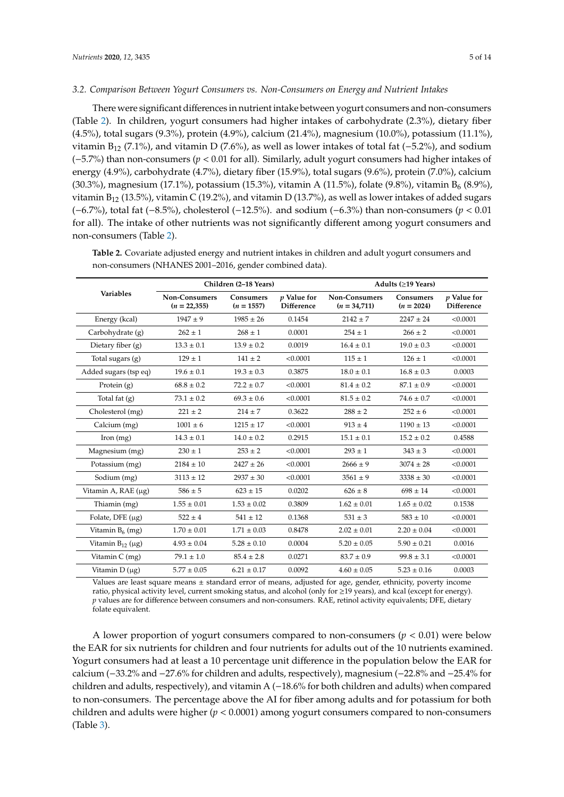#### *3.2. Comparison Between Yogurt Consumers vs. Non-Consumers on Energy and Nutrient Intakes*

There were significant differences in nutrient intake between yogurt consumers and non-consumers (Table [2\)](#page-4-0). In children, yogurt consumers had higher intakes of carbohydrate (2.3%), dietary fiber (4.5%), total sugars (9.3%), protein (4.9%), calcium (21.4%), magnesium (10.0%), potassium (11.1%), vitamin B<sub>12</sub> (7.1%), and vitamin D (7.6%), as well as lower intakes of total fat ( $-5.2$ %), and sodium (−5.7%) than non-consumers (*p* < 0.01 for all). Similarly, adult yogurt consumers had higher intakes of energy (4.9%), carbohydrate (4.7%), dietary fiber (15.9%), total sugars (9.6%), protein (7.0%), calcium (30.3%), magnesium (17.1%), potassium (15.3%), vitamin A (11.5%), folate (9.8%), vitamin B<sub>6</sub> (8.9%), vitamin  $B_{12}$  (13.5%), vitamin C (19.2%), and vitamin D (13.7%), as well as lower intakes of added sugars (−6.7%), total fat (−8.5%), cholesterol (−12.5%). and sodium (−6.3%) than non-consumers (*p* < 0.01 for all). The intake of other nutrients was not significantly different among yogurt consumers and non-consumers (Table [2\)](#page-4-0).

|                             |                                 | Children (2-18 Years)     |                                  | Adults $(\geq 19$ Years)        |                                  |                                         |  |
|-----------------------------|---------------------------------|---------------------------|----------------------------------|---------------------------------|----------------------------------|-----------------------------------------|--|
| <b>Variables</b>            | Non-Consumers<br>$(n = 22,355)$ | Consumers<br>$(n = 1557)$ | <i>v</i> Value for<br>Difference | Non-Consumers<br>$(n = 34,711)$ | <b>Consumers</b><br>$(n = 2024)$ | <i>v</i> Value for<br><b>Difference</b> |  |
| Energy (kcal)               | $1947 \pm 9$                    | $1985 \pm 26$             | 0.1454                           | $2142 \pm 7$                    | $2247 \pm 24$                    | < 0.0001                                |  |
| Carbohydrate (g)            | $262 \pm 1$                     | $268 \pm 1$               | 0.0001                           | $254 \pm 1$                     | $266 \pm 2$                      | < 0.0001                                |  |
| Dietary fiber $(g)$         | $13.3 \pm 0.1$                  | $13.9 \pm 0.2$            | 0.0019                           | $16.4 \pm 0.1$                  | $19.0 \pm 0.3$                   | < 0.0001                                |  |
| Total sugars $(g)$          | $129 \pm 1$                     | $141 \pm 2$               | < 0.0001                         | $115 \pm 1$                     | $126 \pm 1$                      | < 0.0001                                |  |
| Added sugars (tsp eq)       | $19.6 \pm 0.1$                  | $19.3 \pm 0.3$            | 0.3875                           | $18.0 \pm 0.1$                  | $16.8 \pm 0.3$                   | 0.0003                                  |  |
| Protein $(g)$               | $68.8 \pm 0.2$                  | $72.2 \pm 0.7$            | < 0.0001                         | $81.4 \pm 0.2$                  | $87.1 \pm 0.9$                   | < 0.0001                                |  |
| Total fat (g)               | $73.1 \pm 0.2$                  | $69.3 \pm 0.6$            | < 0.0001                         | $81.5 \pm 0.2$                  | $74.6 \pm 0.7$                   | < 0.0001                                |  |
| Cholesterol (mg)            | $221 \pm 2$                     | $214 \pm 7$               | 0.3622                           | $288 \pm 2$                     | $252 \pm 6$                      | < 0.0001                                |  |
| Calcium (mg)                | $1001 \pm 6$                    | $1215 \pm 17$             | < 0.0001                         | $913 \pm 4$                     | $1190 \pm 13$                    | < 0.0001                                |  |
| [from (mg)]                 | $14.3 \pm 0.1$                  | $14.0 \pm 0.2$            | 0.2915                           | $15.1 \pm 0.1$                  | $15.2 \pm 0.2$                   | 0.4588                                  |  |
| Magnesium (mg)              | $230 \pm 1$                     | $253 \pm 2$               | < 0.0001                         | $293 \pm 1$                     | $343 \pm 3$                      | < 0.0001                                |  |
| Potassium (mg)              | $2184 \pm 10$                   | $2427 \pm 26$             | < 0.0001                         | $2666 \pm 9$                    | $3074 \pm 28$                    | < 0.0001                                |  |
| Sodium (mg)                 | $3113 \pm 12$                   | $2937 \pm 30$             | < 0.0001                         | $3561 \pm 9$                    | $3338 \pm 30$                    | < 0.0001                                |  |
| Vitamin A, $RAE(\mu g)$     | $586 \pm 5$                     | $623 \pm 15$              | 0.0202                           | $626 \pm 8$                     | $698 \pm 14$                     | < 0.0001                                |  |
| Thiamin (mg)                | $1.55 \pm 0.01$                 | $1.53 \pm 0.02$           | 0.3809                           | $1.62 \pm 0.01$                 | $1.65 \pm 0.02$                  | 0.1538                                  |  |
| Folate, DFE $(\mu g)$       | $522 \pm 4$                     | $541 \pm 12$              | 0.1368                           | $531 \pm 3$                     | $583 \pm 10$                     | < 0.0001                                |  |
| Vitamin $B_6$ (mg)          | $1.70 \pm 0.01$                 | $1.71 \pm 0.03$           | 0.8478                           | $2.02 \pm 0.01$                 | $2.20 \pm 0.04$                  | < 0.0001                                |  |
| Vitamin $B_{12}$ ( $\mu$ g) | $4.93 \pm 0.04$                 | $5.28 \pm 0.10$           | 0.0004                           | $5.20 \pm 0.05$                 | $5.90 \pm 0.21$                  | 0.0016                                  |  |
| Vitamin $C$ (mg)            | $79.1 \pm 1.0$                  | $85.4 \pm 2.8$            | 0.0271                           | $83.7 \pm 0.9$                  | $99.8 \pm 3.1$                   | < 0.0001                                |  |
| Vitamin $D(\mu g)$          | $5.77 \pm 0.05$                 | $6.21 \pm 0.17$           | 0.0092                           | $4.60 \pm 0.05$                 | $5.23 \pm 0.16$                  | 0.0003                                  |  |

<span id="page-4-0"></span>**Table 2.** Covariate adjusted energy and nutrient intakes in children and adult yogurt consumers and non-consumers (NHANES 2001–2016, gender combined data).

Values are least square means ± standard error of means, adjusted for age, gender, ethnicity, poverty income ratio, physical activity level, current smoking status, and alcohol (only for ≥19 years), and kcal (except for energy). *p* values are for difference between consumers and non-consumers. RAE, retinol activity equivalents; DFE, dietary folate equivalent.

A lower proportion of yogurt consumers compared to non-consumers  $(p < 0.01)$  were below the EAR for six nutrients for children and four nutrients for adults out of the 10 nutrients examined. Yogurt consumers had at least a 10 percentage unit difference in the population below the EAR for calcium (−33.2% and −27.6% for children and adults, respectively), magnesium (−22.8% and −25.4% for children and adults, respectively), and vitamin A (−18.6% for both children and adults) when compared to non-consumers. The percentage above the AI for fiber among adults and for potassium for both children and adults were higher (*p* < 0.0001) among yogurt consumers compared to non-consumers (Table [3\)](#page-5-0).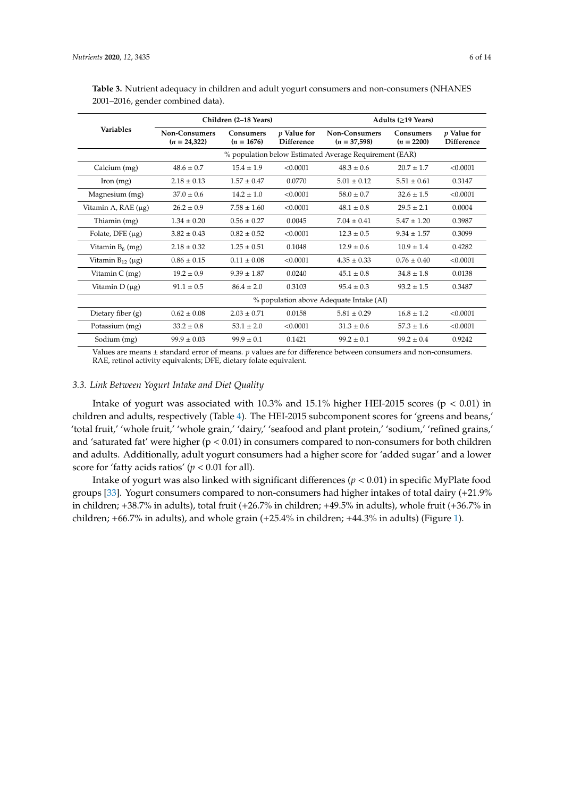|                       |                                                        | Children (2-18 Years)            |                                  | Adults (>19 Years)                     |                                  |                           |  |
|-----------------------|--------------------------------------------------------|----------------------------------|----------------------------------|----------------------------------------|----------------------------------|---------------------------|--|
| <b>Variables</b>      | Non-Consumers<br>$(n = 24,322)$                        | <b>Consumers</b><br>$(n = 1676)$ | p Value for<br><b>Difference</b> | <b>Non-Consumers</b><br>$(n = 37,598)$ | <b>Consumers</b><br>$(n = 2200)$ | p Value for<br>Difference |  |
|                       | % population below Estimated Average Requirement (EAR) |                                  |                                  |                                        |                                  |                           |  |
| Calcium (mg)          | $48.6 \pm 0.7$                                         | $15.4 \pm 1.9$                   | < 0.0001                         | $48.3 \pm 0.6$                         | $20.7 \pm 1.7$                   | < 0.0001                  |  |
| [from (mg)]           | $2.18 \pm 0.13$                                        | $1.57 \pm 0.47$                  | 0.0770                           | $5.01 \pm 0.12$                        | $5.51 \pm 0.61$                  | 0.3147                    |  |
| Magnesium (mg)        | $37.0 \pm 0.6$                                         | $14.2 \pm 1.0$                   | < 0.0001                         | $58.0 \pm 0.7$                         | $32.6 \pm 1.5$                   | < 0.0001                  |  |
| Vitamin A, RAE (μg)   | $26.2 \pm 0.9$                                         | $7.58 \pm 1.60$                  | < 0.0001                         | $48.1 \pm 0.8$                         | $29.5 \pm 2.1$                   | 0.0004                    |  |
| Thiamin (mg)          | $1.34 \pm 0.20$                                        | $0.56 \pm 0.27$                  | 0.0045                           | $7.04 \pm 0.41$                        | $5.47 \pm 1.20$                  | 0.3987                    |  |
| Folate, DFE $(\mu g)$ | $3.82 \pm 0.43$                                        | $0.82 \pm 0.52$                  | < 0.0001                         | $12.3 \pm 0.5$                         | $9.34 \pm 1.57$                  | 0.3099                    |  |
| Vitamin $B_6$ (mg)    | $2.18 \pm 0.32$                                        | $1.25 \pm 0.51$                  | 0.1048                           | $12.9 \pm 0.6$                         | $10.9 \pm 1.4$                   | 0.4282                    |  |
| Vitamin $B_{12}$ (µg) | $0.86 \pm 0.15$                                        | $0.11 \pm 0.08$                  | < 0.0001                         | $4.35 \pm 0.33$                        | $0.76 \pm 0.40$                  | < 0.0001                  |  |
| Vitamin $C$ (mg)      | $19.2 \pm 0.9$                                         | $9.39 \pm 1.87$                  | 0.0240                           | $45.1 \pm 0.8$                         | $34.8 \pm 1.8$                   | 0.0138                    |  |
| Vitamin $D(\mu g)$    | $91.1 \pm 0.5$                                         | $86.4 \pm 2.0$                   | 0.3103                           | $95.4 \pm 0.3$                         | $93.2 \pm 1.5$                   | 0.3487                    |  |
|                       | % population above Adequate Intake (AI)                |                                  |                                  |                                        |                                  |                           |  |
| Dietary fiber $(g)$   | $0.62 \pm 0.08$                                        | $2.03 \pm 0.71$                  | 0.0158                           | $5.81 \pm 0.29$                        | $16.8 \pm 1.2$                   | < 0.0001                  |  |
| Potassium (mg)        | $33.2 \pm 0.8$                                         | $53.1 \pm 2.0$                   | < 0.0001                         | $31.3 \pm 0.6$                         | $57.3 \pm 1.6$                   | < 0.0001                  |  |
| Sodium (mg)           | $99.9 \pm 0.03$                                        | $99.9 \pm 0.1$                   | 0.1421                           | $99.2 \pm 0.1$                         | $99.2 \pm 0.4$                   | 0.9242                    |  |

<span id="page-5-0"></span>**Table 3.** Nutrient adequacy in children and adult yogurt consumers and non-consumers (NHANES 2001–2016, gender combined data).

Values are means ± standard error of means. *p* values are for difference between consumers and non-consumers. RAE, retinol activity equivalents; DFE, dietary folate equivalent.

#### *3.3. Link Between Yogurt Intake and Diet Quality*

Intake of yogurt was associated with 10.3% and 15.1% higher HEI-2015 scores ( $p < 0.01$ ) in children and adults, respectively (Table [4\)](#page-6-0). The HEI-2015 subcomponent scores for 'greens and beans,' 'total fruit,' 'whole fruit,' 'whole grain,' 'dairy,' 'seafood and plant protein,' 'sodium,' 'refined grains,' and 'saturated fat' were higher ( $p < 0.01$ ) in consumers compared to non-consumers for both children and adults. Additionally, adult yogurt consumers had a higher score for 'added sugar' and a lower score for 'fatty acids ratios' ( $p < 0.01$  for all).

Intake of yogurt was also linked with significant differences (*p* < 0.01) in specific MyPlate food groups [\[33\]](#page-11-15). Yogurt consumers compared to non-consumers had higher intakes of total dairy (+21.9% in children; +38.7% in adults), total fruit (+26.7% in children; +49.5% in adults), whole fruit (+36.7% in children; +66.7% in adults), and whole grain (+25.4% in children; +44.3% in adults) (Figure [1\)](#page-7-0).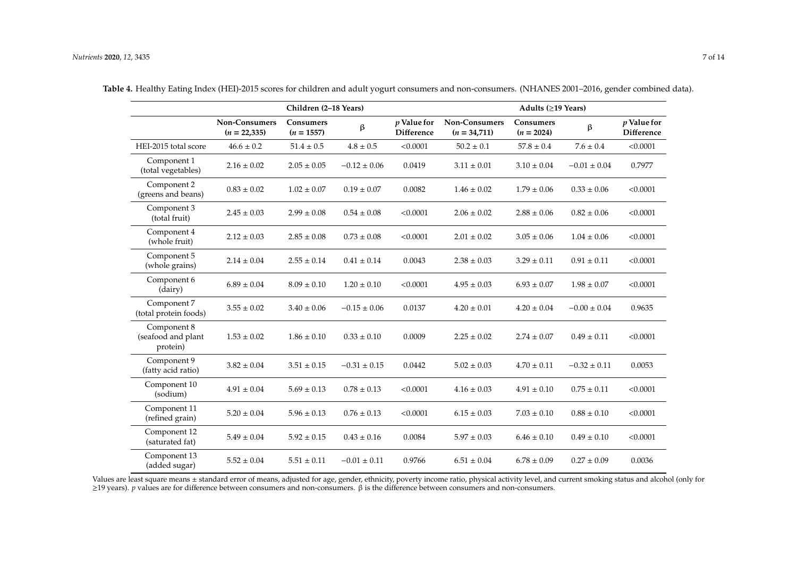|                                               |                                        | Children (2-18 Years)     |                      |                                    | Adults (≥19 Years)              |                           |                  |                             |
|-----------------------------------------------|----------------------------------------|---------------------------|----------------------|------------------------------------|---------------------------------|---------------------------|------------------|-----------------------------|
|                                               | <b>Non-Consumers</b><br>$(n = 22,335)$ | Consumers<br>$(n = 1557)$ | $\boldsymbol{\beta}$ | $p$ Value for<br><b>Difference</b> | Non-Consumers<br>$(n = 34,711)$ | Consumers<br>$(n = 2024)$ | β                | $p$ Value for<br>Difference |
| HEI-2015 total score                          | $46.6 \pm 0.2$                         | $51.4 \pm 0.5$            | $4.8 \pm 0.5$        | < 0.0001                           | $50.2 \pm 0.1$                  | $57.8\pm0.4$              | $7.6 \pm 0.4$    | < 0.0001                    |
| Component 1<br>(total vegetables)             | $2.16 \pm 0.02$                        | $2.05 \pm 0.05$           | $-0.12 \pm 0.06$     | 0.0419                             | $3.11 \pm 0.01$                 | $3.10 \pm 0.04$           | $-0.01 \pm 0.04$ | 0.7977                      |
| Component 2<br>(greens and beans)             | $0.83 \pm 0.02$                        | $1.02 \pm 0.07$           | $0.19 \pm 0.07$      | 0.0082                             | $1.46 \pm 0.02$                 | $1.79 \pm 0.06$           | $0.33 \pm 0.06$  | < 0.0001                    |
| Component 3<br>(total fruit)                  | $2.45 \pm 0.03$                        | $2.99 \pm 0.08$           | $0.54 \pm 0.08$      | < 0.0001                           | $2.06 \pm 0.02$                 | $2.88 \pm 0.06$           | $0.82 \pm 0.06$  | < 0.0001                    |
| Component 4<br>(whole fruit)                  | $2.12 \pm 0.03$                        | $2.85 \pm 0.08$           | $0.73 \pm 0.08$      | < 0.0001                           | $2.01 \pm 0.02$                 | $3.05 \pm 0.06$           | $1.04 \pm 0.06$  | < 0.0001                    |
| Component 5<br>(whole grains)                 | $2.14 \pm 0.04$                        | $2.55 \pm 0.14$           | $0.41 \pm 0.14$      | 0.0043                             | $2.38 \pm 0.03$                 | $3.29 \pm 0.11$           | $0.91 \pm 0.11$  | < 0.0001                    |
| Component 6<br>(dairy)                        | $6.89 \pm 0.04$                        | $8.09 \pm 0.10$           | $1.20 \pm 0.10$      | < 0.0001                           | $4.95 \pm 0.03$                 | $6.93\pm0.07$             | $1.98 \pm 0.07$  | < 0.0001                    |
| Component 7<br>(total protein foods)          | $3.55 \pm 0.02$                        | $3.40 \pm 0.06$           | $-0.15\pm0.06$       | 0.0137                             | $4.20 \pm 0.01$                 | $4.20 \pm 0.04$           | $-0.00\pm0.04$   | 0.9635                      |
| Component 8<br>(seafood and plant<br>protein) | $1.53 \pm 0.02$                        | $1.86 \pm 0.10$           | $0.33 \pm 0.10$      | 0.0009                             | $2.25 \pm 0.02$                 | $2.74 \pm 0.07$           | $0.49 \pm 0.11$  | < 0.0001                    |
| Component 9<br>(fatty acid ratio)             | $3.82 \pm 0.04$                        | $3.51\pm0.15$             | $-0.31 \pm 0.15$     | 0.0442                             | $5.02 \pm 0.03$                 | $4.70 \pm 0.11$           | $-0.32 \pm 0.11$ | 0.0053                      |
| Component 10<br>(sodium)                      | $4.91\pm0.04$                          | $5.69 \pm 0.13$           | $0.78 \pm 0.13$      | < 0.0001                           | $4.16 \pm 0.03$                 | $4.91 \pm 0.10$           | $0.75 \pm 0.11$  | < 0.0001                    |
| Component 11<br>(refined grain)               | $5.20 \pm 0.04$                        | $5.96 \pm 0.13$           | $0.76 \pm 0.13$      | < 0.0001                           | $6.15 \pm 0.03$                 | $7.03 \pm 0.10$           | $0.88 \pm 0.10$  | < 0.0001                    |
| Component 12<br>(saturated fat)               | $5.49 \pm 0.04$                        | $5.92 \pm 0.15$           | $0.43 \pm 0.16$      | 0.0084                             | $5.97 \pm 0.03$                 | $6.46 \pm 0.10$           | $0.49 \pm 0.10$  | < 0.0001                    |
| Component 13<br>(added sugar)                 | $5.52 \pm 0.04$                        | $5.51 \pm 0.11$           | $-0.01 \pm 0.11$     | 0.9766                             | $6.51\pm0.04$                   | $6.78 \pm 0.09$           | $0.27 \pm 0.09$  | 0.0036                      |

**Table 4.** Healthy Eating Index (HEI)-2015 scores for children and adult yogurt consumers and non-consumers. (NHANES 2001–2016, gender combined data).

<span id="page-6-0"></span>Values are least square means ± standard error of means, adjusted for age, gender, ethnicity, poverty income ratio, physical activity level, and current smoking status and alcohol (only for ≥19 years). *p* values are for difference between consumers and non-consumers. β is the difference between consumers and non-consumers.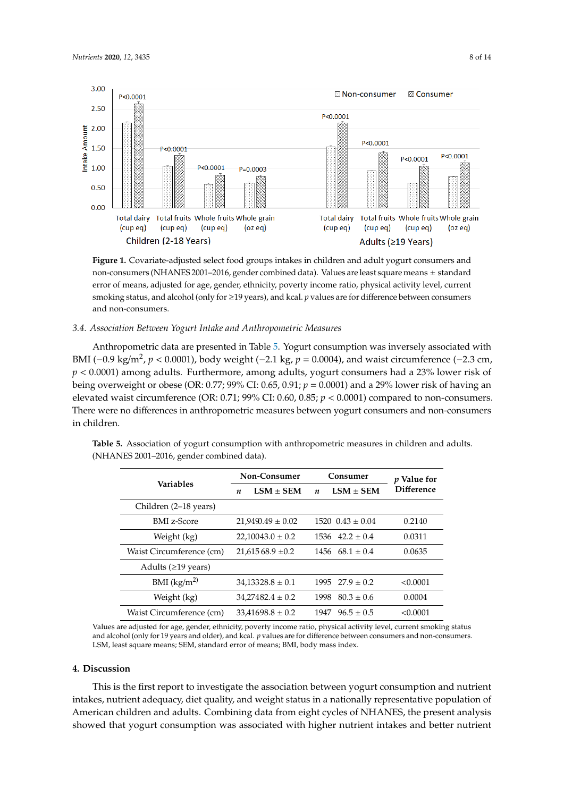<span id="page-7-0"></span>

**Figure 1.** Covariate-adjusted select food groups intakes in children and adult yogurt consumers and **Figure 1.** Covariate-adjusted select food groups intakes in children and adult yogurt consumers and non-consumers (NHANES 2001–2016, gender combined data). Values are least square means ± standard error of means, adjusted for age, gender, ethnicity, poverty income ratio, physical activity level, current smoking status, and alcohol (only for ≥19 years), and kcal. *p* values are for difference between consumers between consumers and non-consumers. and non-consumers.

#### *3.4. Association Between Yogurt Intake and Anthropometric Measures*

*3.4. Association Between Yogurt Intake and Anthropometric Measures* BMI (−0.9 kg/m<sup>2</sup>, *p* < 0.0001), body weight (−2.1 kg, *p* = 0.0004), and waist circumference (−2.3 cm, *p* < 0.0001) among adults. Furthermore, among adults, yogurt consumers had a 23% lower risk of being overweight or obese (OR: 0.77; 99% CI: 0.65, 0.91;  $p = 0.0001$ ) and a 29% lower risk of having an elevated waist circumference (OR: 0.71; 99% CI: 0.60, 0.85;  $p < 0.0001$ ) compared to non-consumers. There were no differences in anthropometric measures between yogurt consumers and non-consumers  $\frac{1}{\pi}$  in children. Anthropometric data are presented in Table [5.](#page-7-1) Yogurt consumption was inversely associated with in children.

|                           | Non-Consumer                    | Consumer                          | p Value for       |  |
|---------------------------|---------------------------------|-----------------------------------|-------------------|--|
| <b>Variables</b>          | $LSM + SEM$<br>$\boldsymbol{n}$ | $LSM \pm SEM$<br>$\boldsymbol{n}$ | <b>Difference</b> |  |
| Children (2–18 years)     |                                 |                                   |                   |  |
| <b>BMI</b> z-Score        | $21.9490.49 \pm 0.02$           | $1520 \ \ 0.43 \pm 0.04$          | 0.2140            |  |
| Weight (kg)               | $22,10043.0 \pm 0.2$            | $1536$ $42.2 \pm 0.4$             | 0.0311            |  |
| Waist Circumference (cm)  | $21,61568.9 \pm 0.2$            | $1456$ 68.1 $\pm$ 0.4             | 0.0635            |  |
| Adults ( $\geq$ 19 years) |                                 |                                   |                   |  |
| BMI $(kg/m^2)$            | $34,13328.8 \pm 0.1$            | $1995 \quad 27.9 \pm 0.2$         | < 0.0001          |  |
| Weight (kg)               | $34,27482.4 \pm 0.2$            | $80.3 \pm 0.6$<br>1998            | 0.0004            |  |
| Waist Circumference (cm)  | $33.41698.8 \pm 0.2$            | $96.5 \pm 0.5$<br>1947            | < 0.0001          |  |

<span id="page-7-1"></span>**Table 5.** Association of yogurt consumption with anthropometric measures in children and adults. (NHANES 2001–2016, gender combined data).

Values are adjusted for age, gender, ethnicity, poverty income ratio, physical activity level, current smoking status and alcohol (only for 19 years and older), and kcal. *p* values are for difference between consumers and non-consumers. LSM, least square means; SEM, standard error of means; BMI, body mass index.

## **4. Discussion**

This is the first report to investigate the association between yogurt consumption and nutrient intakes, nutrient adequacy, diet quality, and weight status in a nationally representative population of American children and adults. Combining data from eight cycles of NHANES, the present analysis showed that yogurt consumption was associated with higher nutrient intakes and better nutrient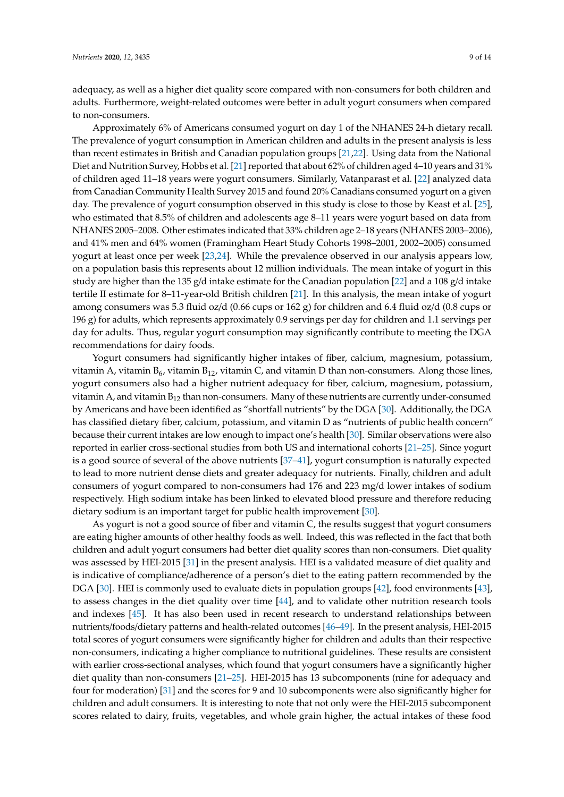adequacy, as well as a higher diet quality score compared with non-consumers for both children and adults. Furthermore, weight-related outcomes were better in adult yogurt consumers when compared to non-consumers.

Approximately 6% of Americans consumed yogurt on day 1 of the NHANES 24-h dietary recall. The prevalence of yogurt consumption in American children and adults in the present analysis is less than recent estimates in British and Canadian population groups [\[21,](#page-11-3)[22\]](#page-11-4). Using data from the National Diet and Nutrition Survey, Hobbs et al. [\[21\]](#page-11-3) reported that about 62% of children aged 4–10 years and 31% of children aged 11–18 years were yogurt consumers. Similarly, Vatanparast et al. [\[22\]](#page-11-4) analyzed data from Canadian Community Health Survey 2015 and found 20% Canadians consumed yogurt on a given day. The prevalence of yogurt consumption observed in this study is close to those by Keast et al. [\[25\]](#page-11-7), who estimated that 8.5% of children and adolescents age 8–11 years were yogurt based on data from NHANES 2005–2008. Other estimates indicated that 33% children age 2–18 years (NHANES 2003–2006), and 41% men and 64% women (Framingham Heart Study Cohorts 1998–2001, 2002–2005) consumed yogurt at least once per week [\[23,](#page-11-5)[24\]](#page-11-6). While the prevalence observed in our analysis appears low, on a population basis this represents about 12 million individuals. The mean intake of yogurt in this study are higher than the 135 g/d intake estimate for the Canadian population [\[22\]](#page-11-4) and a 108 g/d intake tertile II estimate for 8–11-year-old British children [\[21\]](#page-11-3). In this analysis, the mean intake of yogurt among consumers was 5.3 fluid oz/d (0.66 cups or 162 g) for children and 6.4 fluid oz/d (0.8 cups or 196 g) for adults, which represents approximately 0.9 servings per day for children and 1.1 servings per day for adults. Thus, regular yogurt consumption may significantly contribute to meeting the DGA recommendations for dairy foods.

Yogurt consumers had significantly higher intakes of fiber, calcium, magnesium, potassium, vitamin A, vitamin  $B_6$ , vitamin  $B_{12}$ , vitamin C, and vitamin D than non-consumers. Along those lines, yogurt consumers also had a higher nutrient adequacy for fiber, calcium, magnesium, potassium, vitamin A, and vitamin  $B_{12}$  than non-consumers. Many of these nutrients are currently under-consumed by Americans and have been identified as "shortfall nutrients" by the DGA [\[30\]](#page-11-12). Additionally, the DGA has classified dietary fiber, calcium, potassium, and vitamin D as "nutrients of public health concern" because their current intakes are low enough to impact one's health [\[30\]](#page-11-12). Similar observations were also reported in earlier cross-sectional studies from both US and international cohorts [\[21–](#page-11-3)[25\]](#page-11-7). Since yogurt is a good source of several of the above nutrients [\[37](#page-12-2)[–41\]](#page-12-3), yogurt consumption is naturally expected to lead to more nutrient dense diets and greater adequacy for nutrients. Finally, children and adult consumers of yogurt compared to non-consumers had 176 and 223 mg/d lower intakes of sodium respectively. High sodium intake has been linked to elevated blood pressure and therefore reducing dietary sodium is an important target for public health improvement [\[30\]](#page-11-12).

As yogurt is not a good source of fiber and vitamin C, the results suggest that yogurt consumers are eating higher amounts of other healthy foods as well. Indeed, this was reflected in the fact that both children and adult yogurt consumers had better diet quality scores than non-consumers. Diet quality was assessed by HEI-2015 [\[31\]](#page-11-13) in the present analysis. HEI is a validated measure of diet quality and is indicative of compliance/adherence of a person's diet to the eating pattern recommended by the DGA [\[30\]](#page-11-12). HEI is commonly used to evaluate diets in population groups [\[42\]](#page-12-4), food environments [\[43\]](#page-12-5), to assess changes in the diet quality over time [\[44\]](#page-12-6), and to validate other nutrition research tools and indexes [\[45\]](#page-12-7). It has also been used in recent research to understand relationships between nutrients/foods/dietary patterns and health-related outcomes [\[46–](#page-12-8)[49\]](#page-12-9). In the present analysis, HEI-2015 total scores of yogurt consumers were significantly higher for children and adults than their respective non-consumers, indicating a higher compliance to nutritional guidelines. These results are consistent with earlier cross-sectional analyses, which found that yogurt consumers have a significantly higher diet quality than non-consumers [\[21–](#page-11-3)[25\]](#page-11-7). HEI-2015 has 13 subcomponents (nine for adequacy and four for moderation) [\[31\]](#page-11-13) and the scores for 9 and 10 subcomponents were also significantly higher for children and adult consumers. It is interesting to note that not only were the HEI-2015 subcomponent scores related to dairy, fruits, vegetables, and whole grain higher, the actual intakes of these food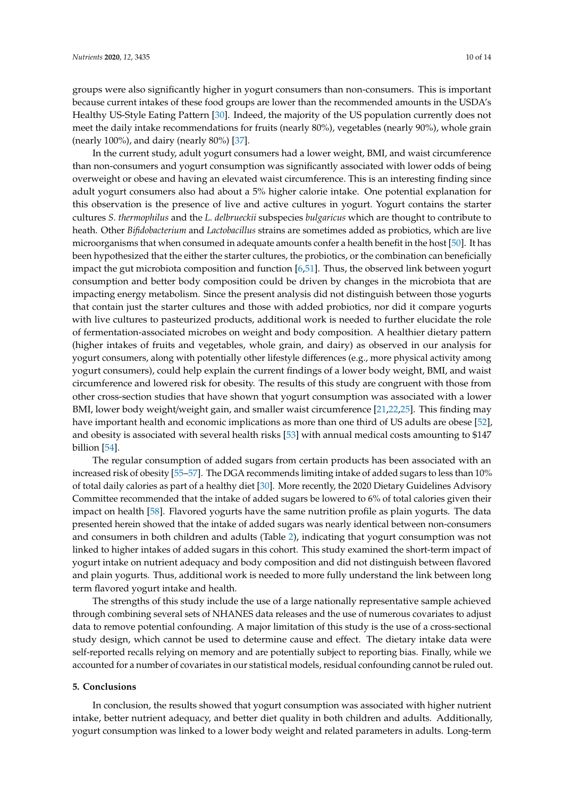groups were also significantly higher in yogurt consumers than non-consumers. This is important because current intakes of these food groups are lower than the recommended amounts in the USDA's Healthy US-Style Eating Pattern [\[30\]](#page-11-12). Indeed, the majority of the US population currently does not meet the daily intake recommendations for fruits (nearly 80%), vegetables (nearly 90%), whole grain (nearly 100%), and dairy (nearly 80%) [\[37\]](#page-12-2).

In the current study, adult yogurt consumers had a lower weight, BMI, and waist circumference than non-consumers and yogurt consumption was significantly associated with lower odds of being overweight or obese and having an elevated waist circumference. This is an interesting finding since adult yogurt consumers also had about a 5% higher calorie intake. One potential explanation for this observation is the presence of live and active cultures in yogurt. Yogurt contains the starter cultures *S. thermophilus* and the *L. delbrueckii* subspecies *bulgaricus* which are thought to contribute to heath. Other *Bifidobacterium* and *Lactobacillus* strains are sometimes added as probiotics, which are live microorganisms that when consumed in adequate amounts confer a health benefit in the host [\[50\]](#page-12-10). It has been hypothesized that the either the starter cultures, the probiotics, or the combination can beneficially impact the gut microbiota composition and function [\[6,](#page-10-5)[51\]](#page-12-11). Thus, the observed link between yogurt consumption and better body composition could be driven by changes in the microbiota that are impacting energy metabolism. Since the present analysis did not distinguish between those yogurts that contain just the starter cultures and those with added probiotics, nor did it compare yogurts with live cultures to pasteurized products, additional work is needed to further elucidate the role of fermentation-associated microbes on weight and body composition. A healthier dietary pattern (higher intakes of fruits and vegetables, whole grain, and dairy) as observed in our analysis for yogurt consumers, along with potentially other lifestyle differences (e.g., more physical activity among yogurt consumers), could help explain the current findings of a lower body weight, BMI, and waist circumference and lowered risk for obesity. The results of this study are congruent with those from other cross-section studies that have shown that yogurt consumption was associated with a lower BMI, lower body weight/weight gain, and smaller waist circumference [\[21](#page-11-3)[,22](#page-11-4)[,25\]](#page-11-7). This finding may have important health and economic implications as more than one third of US adults are obese [\[52\]](#page-12-12), and obesity is associated with several health risks [\[53\]](#page-12-13) with annual medical costs amounting to \$147 billion [\[54\]](#page-13-0).

The regular consumption of added sugars from certain products has been associated with an increased risk of obesity [\[55–](#page-13-1)[57\]](#page-13-2). The DGA recommends limiting intake of added sugars to less than 10% of total daily calories as part of a healthy diet [\[30\]](#page-11-12). More recently, the 2020 Dietary Guidelines Advisory Committee recommended that the intake of added sugars be lowered to 6% of total calories given their impact on health [\[58\]](#page-13-3). Flavored yogurts have the same nutrition profile as plain yogurts. The data presented herein showed that the intake of added sugars was nearly identical between non-consumers and consumers in both children and adults (Table [2\)](#page-4-0), indicating that yogurt consumption was not linked to higher intakes of added sugars in this cohort. This study examined the short-term impact of yogurt intake on nutrient adequacy and body composition and did not distinguish between flavored and plain yogurts. Thus, additional work is needed to more fully understand the link between long term flavored yogurt intake and health.

The strengths of this study include the use of a large nationally representative sample achieved through combining several sets of NHANES data releases and the use of numerous covariates to adjust data to remove potential confounding. A major limitation of this study is the use of a cross-sectional study design, which cannot be used to determine cause and effect. The dietary intake data were self-reported recalls relying on memory and are potentially subject to reporting bias. Finally, while we accounted for a number of covariates in our statistical models, residual confounding cannot be ruled out.

## **5. Conclusions**

In conclusion, the results showed that yogurt consumption was associated with higher nutrient intake, better nutrient adequacy, and better diet quality in both children and adults. Additionally, yogurt consumption was linked to a lower body weight and related parameters in adults. Long-term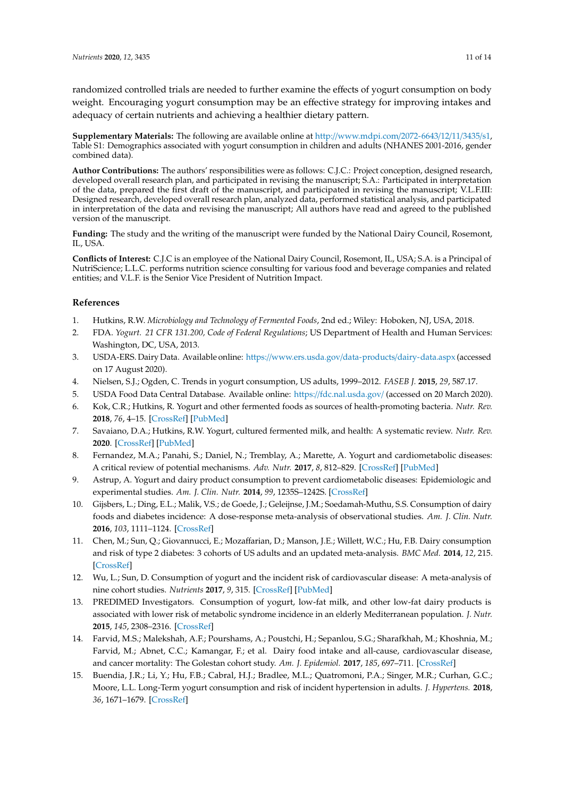randomized controlled trials are needed to further examine the effects of yogurt consumption on body weight. Encouraging yogurt consumption may be an effective strategy for improving intakes and adequacy of certain nutrients and achieving a healthier dietary pattern.

**Supplementary Materials:** The following are available online at http://[www.mdpi.com](http://www.mdpi.com/2072-6643/12/11/3435/s1)/2072-6643/12/11/3435/s1, Table S1: Demographics associated with yogurt consumption in children and adults (NHANES 2001-2016, gender combined data).

**Author Contributions:** The authors' responsibilities were as follows: C.J.C.: Project conception, designed research, developed overall research plan, and participated in revising the manuscript; S.A.: Participated in interpretation of the data, prepared the first draft of the manuscript, and participated in revising the manuscript; V.L.F.III: Designed research, developed overall research plan, analyzed data, performed statistical analysis, and participated in interpretation of the data and revising the manuscript; All authors have read and agreed to the published version of the manuscript.

**Funding:** The study and the writing of the manuscript were funded by the National Dairy Council, Rosemont, IL, USA.

**Conflicts of Interest:** C.J.C is an employee of the National Dairy Council, Rosemont, IL, USA; S.A. is a Principal of NutriScience; L.L.C. performs nutrition science consulting for various food and beverage companies and related entities; and V.L.F. is the Senior Vice President of Nutrition Impact.

## **References**

- <span id="page-10-0"></span>1. Hutkins, R.W. *Microbiology and Technology of Fermented Foods*, 2nd ed.; Wiley: Hoboken, NJ, USA, 2018.
- <span id="page-10-1"></span>2. FDA. *Yogurt. 21 CFR 131.200, Code of Federal Regulations*; US Department of Health and Human Services: Washington, DC, USA, 2013.
- <span id="page-10-2"></span>3. USDA-ERS. Dairy Data. Available online: https://[www.ers.usda.gov](https://www.ers.usda.gov/data-products/dairy-data.aspx)/data-products/dairy-data.aspx (accessed on 17 August 2020).
- <span id="page-10-3"></span>4. Nielsen, S.J.; Ogden, C. Trends in yogurt consumption, US adults, 1999–2012. *FASEB J.* **2015**, *29*, 587.17.
- <span id="page-10-4"></span>5. USDA Food Data Central Database. Available online: https://[fdc.nal.usda.gov](https://fdc.nal.usda.gov/)/ (accessed on 20 March 2020).
- <span id="page-10-5"></span>6. Kok, C.R.; Hutkins, R. Yogurt and other fermented foods as sources of health-promoting bacteria. *Nutr. Rev.* **2018**, *76*, 4–15. [\[CrossRef\]](http://dx.doi.org/10.1093/nutrit/nuy056) [\[PubMed\]](http://www.ncbi.nlm.nih.gov/pubmed/30452699)
- <span id="page-10-6"></span>7. Savaiano, D.A.; Hutkins, R.W. Yogurt, cultured fermented milk, and health: A systematic review. *Nutr. Rev.* **2020**. [\[CrossRef\]](http://dx.doi.org/10.1093/nutrit/nuaa013) [\[PubMed\]](http://www.ncbi.nlm.nih.gov/pubmed/32447398)
- <span id="page-10-14"></span>8. Fernandez, M.A.; Panahi, S.; Daniel, N.; Tremblay, A.; Marette, A. Yogurt and cardiometabolic diseases: A critical review of potential mechanisms. *Adv. Nutr.* **2017**, *8*, 812–829. [\[CrossRef\]](http://dx.doi.org/10.3945/an.116.013946) [\[PubMed\]](http://www.ncbi.nlm.nih.gov/pubmed/29141967)
- <span id="page-10-7"></span>9. Astrup, A. Yogurt and dairy product consumption to prevent cardiometabolic diseases: Epidemiologic and experimental studies. *Am. J. Clin. Nutr.* **2014**, *99*, 1235S–1242S. [\[CrossRef\]](http://dx.doi.org/10.3945/ajcn.113.073015)
- <span id="page-10-8"></span>10. Gijsbers, L.; Ding, E.L.; Malik, V.S.; de Goede, J.; Geleijnse, J.M.; Soedamah-Muthu, S.S. Consumption of dairy foods and diabetes incidence: A dose-response meta-analysis of observational studies. *Am. J. Clin. Nutr.* **2016**, *103*, 1111–1124. [\[CrossRef\]](http://dx.doi.org/10.3945/ajcn.115.123216)
- <span id="page-10-9"></span>11. Chen, M.; Sun, Q.; Giovannucci, E.; Mozaffarian, D.; Manson, J.E.; Willett, W.C.; Hu, F.B. Dairy consumption and risk of type 2 diabetes: 3 cohorts of US adults and an updated meta-analysis. *BMC Med.* **2014**, *12*, 215. [\[CrossRef\]](http://dx.doi.org/10.1186/s12916-014-0215-1)
- <span id="page-10-10"></span>12. Wu, L.; Sun, D. Consumption of yogurt and the incident risk of cardiovascular disease: A meta-analysis of nine cohort studies. *Nutrients* **2017**, *9*, 315. [\[CrossRef\]](http://dx.doi.org/10.3390/nu9030315) [\[PubMed\]](http://www.ncbi.nlm.nih.gov/pubmed/28327514)
- <span id="page-10-11"></span>13. PREDIMED Investigators. Consumption of yogurt, low-fat milk, and other low-fat dairy products is associated with lower risk of metabolic syndrome incidence in an elderly Mediterranean population. *J. Nutr.* **2015**, *145*, 2308–2316. [\[CrossRef\]](http://dx.doi.org/10.3945/jn.115.214593)
- <span id="page-10-12"></span>14. Farvid, M.S.; Malekshah, A.F.; Pourshams, A.; Poustchi, H.; Sepanlou, S.G.; Sharafkhah, M.; Khoshnia, M.; Farvid, M.; Abnet, C.C.; Kamangar, F.; et al. Dairy food intake and all-cause, cardiovascular disease, and cancer mortality: The Golestan cohort study. *Am. J. Epidemiol.* **2017**, *185*, 697–711. [\[CrossRef\]](http://dx.doi.org/10.1093/aje/kww139)
- <span id="page-10-13"></span>15. Buendia, J.R.; Li, Y.; Hu, F.B.; Cabral, H.J.; Bradlee, M.L.; Quatromoni, P.A.; Singer, M.R.; Curhan, G.C.; Moore, L.L. Long-Term yogurt consumption and risk of incident hypertension in adults. *J. Hypertens.* **2018**, *36*, 1671–1679. [\[CrossRef\]](http://dx.doi.org/10.1097/HJH.0000000000001737)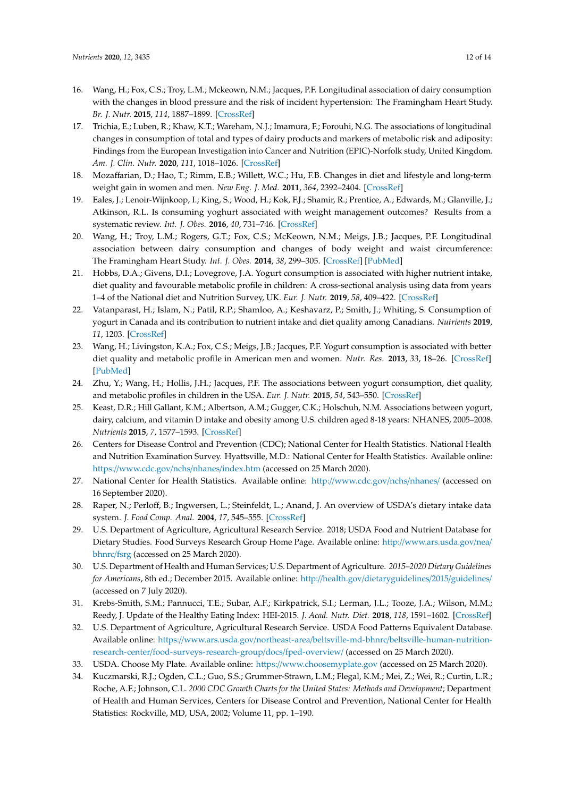- <span id="page-11-0"></span>16. Wang, H.; Fox, C.S.; Troy, L.M.; Mckeown, N.M.; Jacques, P.F. Longitudinal association of dairy consumption with the changes in blood pressure and the risk of incident hypertension: The Framingham Heart Study. *Br. J. Nutr.* **2015**, *114*, 1887–1899. [\[CrossRef\]](http://dx.doi.org/10.1017/S0007114515003578)
- <span id="page-11-1"></span>17. Trichia, E.; Luben, R.; Khaw, K.T.; Wareham, N.J.; Imamura, F.; Forouhi, N.G. The associations of longitudinal changes in consumption of total and types of dairy products and markers of metabolic risk and adiposity: Findings from the European Investigation into Cancer and Nutrition (EPIC)-Norfolk study, United Kingdom. *Am. J. Clin. Nutr.* **2020**, *111*, 1018–1026. [\[CrossRef\]](http://dx.doi.org/10.1093/ajcn/nqz335)
- 18. Mozaffarian, D.; Hao, T.; Rimm, E.B.; Willett, W.C.; Hu, F.B. Changes in diet and lifestyle and long-term weight gain in women and men. *New Eng. J. Med.* **2011**, *364*, 2392–2404. [\[CrossRef\]](http://dx.doi.org/10.1056/NEJMoa1014296)
- 19. Eales, J.; Lenoir-Wijnkoop, I.; King, S.; Wood, H.; Kok, F.J.; Shamir, R.; Prentice, A.; Edwards, M.; Glanville, J.; Atkinson, R.L. Is consuming yoghurt associated with weight management outcomes? Results from a systematic review. *Int. J. Obes.* **2016**, *40*, 731–746. [\[CrossRef\]](http://dx.doi.org/10.1038/ijo.2015.202)
- <span id="page-11-2"></span>20. Wang, H.; Troy, L.M.; Rogers, G.T.; Fox, C.S.; McKeown, N.M.; Meigs, J.B.; Jacques, P.F. Longitudinal association between dairy consumption and changes of body weight and waist circumference: The Framingham Heart Study. *Int. J. Obes.* **2014**, *38*, 299–305. [\[CrossRef\]](http://dx.doi.org/10.1038/ijo.2013.78) [\[PubMed\]](http://www.ncbi.nlm.nih.gov/pubmed/23736371)
- <span id="page-11-3"></span>21. Hobbs, D.A.; Givens, D.I.; Lovegrove, J.A. Yogurt consumption is associated with higher nutrient intake, diet quality and favourable metabolic profile in children: A cross-sectional analysis using data from years 1–4 of the National diet and Nutrition Survey, UK. *Eur. J. Nutr.* **2019**, *58*, 409–422. [\[CrossRef\]](http://dx.doi.org/10.1007/s00394-017-1605-x)
- <span id="page-11-4"></span>22. Vatanparast, H.; Islam, N.; Patil, R.P.; Shamloo, A.; Keshavarz, P.; Smith, J.; Whiting, S. Consumption of yogurt in Canada and its contribution to nutrient intake and diet quality among Canadians. *Nutrients* **2019**, *11*, 1203. [\[CrossRef\]](http://dx.doi.org/10.3390/nu11061203)
- <span id="page-11-5"></span>23. Wang, H.; Livingston, K.A.; Fox, C.S.; Meigs, J.B.; Jacques, P.F. Yogurt consumption is associated with better diet quality and metabolic profile in American men and women. *Nutr. Res.* **2013**, *33*, 18–26. [\[CrossRef\]](http://dx.doi.org/10.1016/j.nutres.2012.11.009) [\[PubMed\]](http://www.ncbi.nlm.nih.gov/pubmed/23351406)
- <span id="page-11-6"></span>24. Zhu, Y.; Wang, H.; Hollis, J.H.; Jacques, P.F. The associations between yogurt consumption, diet quality, and metabolic profiles in children in the USA. *Eur. J. Nutr.* **2015**, *54*, 543–550. [\[CrossRef\]](http://dx.doi.org/10.1007/s00394-014-0735-7)
- <span id="page-11-7"></span>25. Keast, D.R.; Hill Gallant, K.M.; Albertson, A.M.; Gugger, C.K.; Holschuh, N.M. Associations between yogurt, dairy, calcium, and vitamin D intake and obesity among U.S. children aged 8-18 years: NHANES, 2005–2008. *Nutrients* **2015**, *7*, 1577–1593. [\[CrossRef\]](http://dx.doi.org/10.3390/nu7031577)
- <span id="page-11-8"></span>26. Centers for Disease Control and Prevention (CDC); National Center for Health Statistics. National Health and Nutrition Examination Survey. Hyattsville, M.D.: National Center for Health Statistics. Available online: https://[www.cdc.gov](https://www.cdc.gov/nchs/nhanes/index.htm)/nchs/nhanes/index.htm (accessed on 25 March 2020).
- <span id="page-11-9"></span>27. National Center for Health Statistics. Available online: http://[www.cdc.gov](http://www.cdc.gov/nchs/nhanes/)/nchs/nhanes/ (accessed on 16 September 2020).
- <span id="page-11-10"></span>28. Raper, N.; Perloff, B.; Ingwersen, L.; Steinfeldt, L.; Anand, J. An overview of USDA's dietary intake data system. *J. Food Comp. Anal.* **2004**, *17*, 545–555. [\[CrossRef\]](http://dx.doi.org/10.1016/j.jfca.2004.02.013)
- <span id="page-11-11"></span>29. U.S. Department of Agriculture, Agricultural Research Service. 2018; USDA Food and Nutrient Database for Dietary Studies. Food Surveys Research Group Home Page. Available online: http://[www.ars.usda.gov](http://www.ars.usda.gov/nea/bhnrc/fsrg)/nea/ [bhnrc](http://www.ars.usda.gov/nea/bhnrc/fsrg)/fsrg (accessed on 25 March 2020).
- <span id="page-11-12"></span>30. U.S. Department of Health and Human Services; U.S. Department of Agriculture. *2015–2020 Dietary Guidelines for Americans*, 8th ed.; December 2015. Available online: http://health.gov/[dietaryguidelines](http://health.gov/dietaryguidelines/2015/guidelines/)/2015/guidelines/ (accessed on 7 July 2020).
- <span id="page-11-13"></span>31. Krebs-Smith, S.M.; Pannucci, T.E.; Subar, A.F.; Kirkpatrick, S.I.; Lerman, J.L.; Tooze, J.A.; Wilson, M.M.; Reedy, J. Update of the Healthy Eating Index: HEI-2015. *J. Acad. Nutr. Diet.* **2018**, *118*, 1591–1602. [\[CrossRef\]](http://dx.doi.org/10.1016/j.jand.2018.05.021)
- <span id="page-11-14"></span>32. U.S. Department of Agriculture, Agricultural Research Service. USDA Food Patterns Equivalent Database. Available online: https://www.ars.usda.gov/northeast-area/beltsville-md-bhnrc/[beltsville-human-nutrition](https://www.ars.usda.gov/northeast-area/beltsville-md-bhnrc/beltsville-human-nutrition-research-center/food-surveys-research-group/docs/fped-overview/)research-center/[food-surveys-research-group](https://www.ars.usda.gov/northeast-area/beltsville-md-bhnrc/beltsville-human-nutrition-research-center/food-surveys-research-group/docs/fped-overview/)/docs/fped-overview/ (accessed on 25 March 2020).
- <span id="page-11-15"></span>33. USDA. Choose My Plate. Available online: https://[www.choosemyplate.gov](https://www.choosemyplate.gov) (accessed on 25 March 2020).
- <span id="page-11-16"></span>34. Kuczmarski, R.J.; Ogden, C.L.; Guo, S.S.; Grummer-Strawn, L.M.; Flegal, K.M.; Mei, Z.; Wei, R.; Curtin, L.R.; Roche, A.F.; Johnson, C.L. *2000 CDC Growth Charts for the United States: Methods and Development*; Department of Health and Human Services, Centers for Disease Control and Prevention, National Center for Health Statistics: Rockville, MD, USA, 2002; Volume 11, pp. 1–190.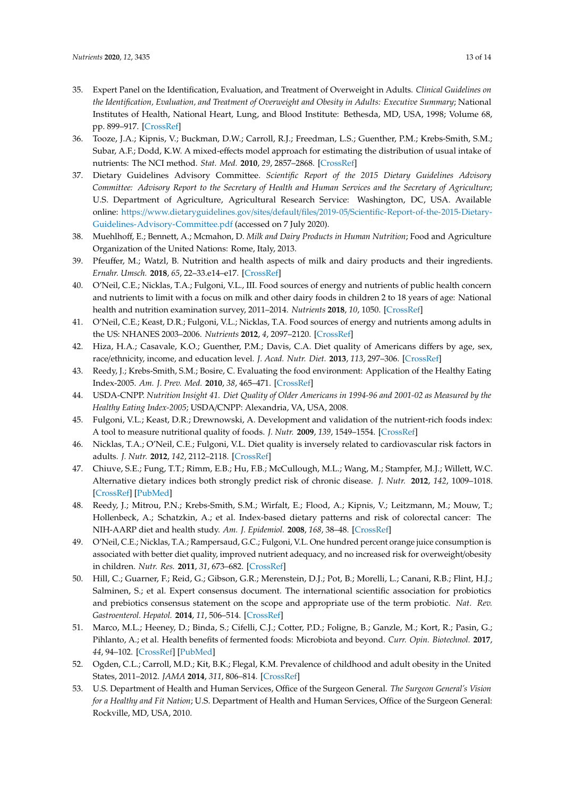- <span id="page-12-0"></span>35. Expert Panel on the Identification, Evaluation, and Treatment of Overweight in Adults. *Clinical Guidelines on the Identification, Evaluation, and Treatment of Overweight and Obesity in Adults: Executive Summary*; National Institutes of Health, National Heart, Lung, and Blood Institute: Bethesda, MD, USA, 1998; Volume 68, pp. 899–917. [\[CrossRef\]](http://dx.doi.org/10.1093/ajcn/68.4.899)
- <span id="page-12-1"></span>36. Tooze, J.A.; Kipnis, V.; Buckman, D.W.; Carroll, R.J.; Freedman, L.S.; Guenther, P.M.; Krebs-Smith, S.M.; Subar, A.F.; Dodd, K.W. A mixed-effects model approach for estimating the distribution of usual intake of nutrients: The NCI method. *Stat. Med.* **2010**, *29*, 2857–2868. [\[CrossRef\]](http://dx.doi.org/10.1002/sim.4063)
- <span id="page-12-2"></span>37. Dietary Guidelines Advisory Committee. *Scientific Report of the 2015 Dietary Guidelines Advisory Committee: Advisory Report to the Secretary of Health and Human Services and the Secretary of Agriculture*; U.S. Department of Agriculture, Agricultural Research Service: Washington, DC, USA. Available online: https://www.dietaryguidelines.gov/sites/default/files/2019-05/[Scientific-Report-of-the-2015-Dietary-](https://www.dietaryguidelines.gov/sites/default/files/2019-05/Scientific-Report-of-the-2015-Dietary-Guidelines-Advisory-Committee.pdf)[Guidelines-Advisory-Committee.pdf](https://www.dietaryguidelines.gov/sites/default/files/2019-05/Scientific-Report-of-the-2015-Dietary-Guidelines-Advisory-Committee.pdf) (accessed on 7 July 2020).
- 38. Muehlhoff, E.; Bennett, A.; Mcmahon, D. *Milk and Dairy Products in Human Nutrition*; Food and Agriculture Organization of the United Nations: Rome, Italy, 2013.
- 39. Pfeuffer, M.; Watzl, B. Nutrition and health aspects of milk and dairy products and their ingredients. *Ernahr. Umsch.* **2018**, *65*, 22–33.e14–e17. [\[CrossRef\]](http://dx.doi.org/10.4455/eu.2018.006)
- 40. O'Neil, C.E.; Nicklas, T.A.; Fulgoni, V.L., III. Food sources of energy and nutrients of public health concern and nutrients to limit with a focus on milk and other dairy foods in children 2 to 18 years of age: National health and nutrition examination survey, 2011–2014. *Nutrients* **2018**, *10*, 1050. [\[CrossRef\]](http://dx.doi.org/10.3390/nu10081050)
- <span id="page-12-3"></span>41. O'Neil, C.E.; Keast, D.R.; Fulgoni, V.L.; Nicklas, T.A. Food sources of energy and nutrients among adults in the US: NHANES 2003–2006. *Nutrients* **2012**, *4*, 2097–2120. [\[CrossRef\]](http://dx.doi.org/10.3390/nu4122097)
- <span id="page-12-4"></span>42. Hiza, H.A.; Casavale, K.O.; Guenther, P.M.; Davis, C.A. Diet quality of Americans differs by age, sex, race/ethnicity, income, and education level. *J. Acad. Nutr. Diet.* **2013**, *113*, 297–306. [\[CrossRef\]](http://dx.doi.org/10.1016/j.jand.2012.08.011)
- <span id="page-12-5"></span>43. Reedy, J.; Krebs-Smith, S.M.; Bosire, C. Evaluating the food environment: Application of the Healthy Eating Index-2005. *Am. J. Prev. Med.* **2010**, *38*, 465–471. [\[CrossRef\]](http://dx.doi.org/10.1016/j.amepre.2010.01.015)
- <span id="page-12-6"></span>44. USDA-CNPP. *Nutrition Insight 41. Diet Quality of Older Americans in 1994-96 and 2001-02 as Measured by the Healthy Eating Index-2005*; USDA/CNPP: Alexandria, VA, USA, 2008.
- <span id="page-12-7"></span>45. Fulgoni, V.L.; Keast, D.R.; Drewnowski, A. Development and validation of the nutrient-rich foods index: A tool to measure nutritional quality of foods. *J. Nutr.* **2009**, *139*, 1549–1554. [\[CrossRef\]](http://dx.doi.org/10.3945/jn.108.101360)
- <span id="page-12-8"></span>46. Nicklas, T.A.; O'Neil, C.E.; Fulgoni, V.L. Diet quality is inversely related to cardiovascular risk factors in adults. *J. Nutr.* **2012**, *142*, 2112–2118. [\[CrossRef\]](http://dx.doi.org/10.3945/jn.112.164889)
- 47. Chiuve, S.E.; Fung, T.T.; Rimm, E.B.; Hu, F.B.; McCullough, M.L.; Wang, M.; Stampfer, M.J.; Willett, W.C. Alternative dietary indices both strongly predict risk of chronic disease. *J. Nutr.* **2012**, *142*, 1009–1018. [\[CrossRef\]](http://dx.doi.org/10.3945/jn.111.157222) [\[PubMed\]](http://www.ncbi.nlm.nih.gov/pubmed/22513989)
- 48. Reedy, J.; Mitrou, P.N.; Krebs-Smith, S.M.; Wirfalt, E.; Flood, A.; Kipnis, V.; Leitzmann, M.; Mouw, T.; Hollenbeck, A.; Schatzkin, A.; et al. Index-based dietary patterns and risk of colorectal cancer: The NIH-AARP diet and health study. *Am. J. Epidemiol.* **2008**, *168*, 38–48. [\[CrossRef\]](http://dx.doi.org/10.1093/aje/kwn097)
- <span id="page-12-9"></span>49. O'Neil, C.E.; Nicklas, T.A.; Rampersaud, G.C.; Fulgoni, V.L. One hundred percent orange juice consumption is associated with better diet quality, improved nutrient adequacy, and no increased risk for overweight/obesity in children. *Nutr. Res.* **2011**, *31*, 673–682. [\[CrossRef\]](http://dx.doi.org/10.1016/j.nutres.2011.09.002)
- <span id="page-12-10"></span>50. Hill, C.; Guarner, F.; Reid, G.; Gibson, G.R.; Merenstein, D.J.; Pot, B.; Morelli, L.; Canani, R.B.; Flint, H.J.; Salminen, S.; et al. Expert consensus document. The international scientific association for probiotics and prebiotics consensus statement on the scope and appropriate use of the term probiotic. *Nat. Rev. Gastroenterol. Hepatol.* **2014**, *11*, 506–514. [\[CrossRef\]](http://dx.doi.org/10.1038/nrgastro.2014.66)
- <span id="page-12-11"></span>51. Marco, M.L.; Heeney, D.; Binda, S.; Cifelli, C.J.; Cotter, P.D.; Foligne, B.; Ganzle, M.; Kort, R.; Pasin, G.; Pihlanto, A.; et al. Health benefits of fermented foods: Microbiota and beyond. *Curr. Opin. Biotechnol.* **2017**, *44*, 94–102. [\[CrossRef\]](http://dx.doi.org/10.1016/j.copbio.2016.11.010) [\[PubMed\]](http://www.ncbi.nlm.nih.gov/pubmed/27998788)
- <span id="page-12-12"></span>52. Ogden, C.L.; Carroll, M.D.; Kit, B.K.; Flegal, K.M. Prevalence of childhood and adult obesity in the United States, 2011–2012. *JAMA* **2014**, *311*, 806–814. [\[CrossRef\]](http://dx.doi.org/10.1001/jama.2014.732)
- <span id="page-12-13"></span>53. U.S. Department of Health and Human Services, Office of the Surgeon General. *The Surgeon General's Vision for a Healthy and Fit Nation*; U.S. Department of Health and Human Services, Office of the Surgeon General: Rockville, MD, USA, 2010.